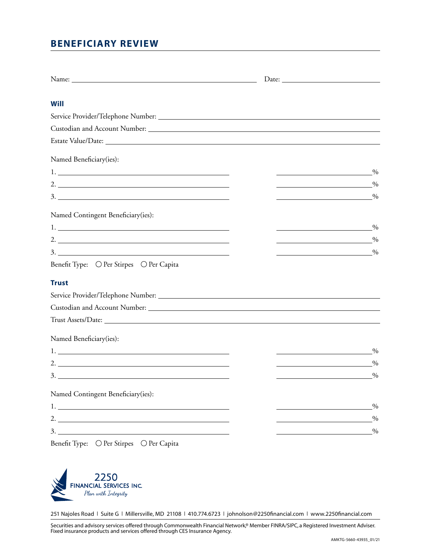# **BENEFICIARY REVIEW**

| Will                                                                                                                                                                                                                                                                                                                   |                                                                                                                      |               |
|------------------------------------------------------------------------------------------------------------------------------------------------------------------------------------------------------------------------------------------------------------------------------------------------------------------------|----------------------------------------------------------------------------------------------------------------------|---------------|
|                                                                                                                                                                                                                                                                                                                        |                                                                                                                      |               |
|                                                                                                                                                                                                                                                                                                                        |                                                                                                                      |               |
|                                                                                                                                                                                                                                                                                                                        |                                                                                                                      |               |
| Named Beneficiary(ies):                                                                                                                                                                                                                                                                                                |                                                                                                                      |               |
|                                                                                                                                                                                                                                                                                                                        |                                                                                                                      | $\frac{0}{0}$ |
| 2. $\frac{1}{2}$ $\frac{1}{2}$ $\frac{1}{2}$ $\frac{1}{2}$ $\frac{1}{2}$ $\frac{1}{2}$ $\frac{1}{2}$ $\frac{1}{2}$ $\frac{1}{2}$ $\frac{1}{2}$ $\frac{1}{2}$ $\frac{1}{2}$ $\frac{1}{2}$ $\frac{1}{2}$ $\frac{1}{2}$ $\frac{1}{2}$ $\frac{1}{2}$ $\frac{1}{2}$ $\frac{1}{2}$ $\frac{1}{2}$ $\frac{1}{2}$ $\frac{1}{2}$ | <u> 1989 - Johann Barbara, martin a</u>                                                                              | $\frac{0}{0}$ |
|                                                                                                                                                                                                                                                                                                                        | <u> 1980 - Johann Barn, fransk politik (</u>                                                                         | $\frac{0}{0}$ |
| Named Contingent Beneficiary(ies):                                                                                                                                                                                                                                                                                     |                                                                                                                      |               |
|                                                                                                                                                                                                                                                                                                                        | <u> Albanya (Albanya)</u>                                                                                            | $\%$          |
| 2. $\overline{\phantom{a}}$                                                                                                                                                                                                                                                                                            | <u> 1989 - Johann Barn, mars ann an t-</u>                                                                           | $\%$          |
|                                                                                                                                                                                                                                                                                                                        | <u> 1980 - Johann Barbara, martin eta politikar</u>                                                                  | $^{0}_{0}$    |
| Benefit Type: O Per Stirpes O Per Capita                                                                                                                                                                                                                                                                               |                                                                                                                      |               |
| <b>Trust</b>                                                                                                                                                                                                                                                                                                           |                                                                                                                      |               |
|                                                                                                                                                                                                                                                                                                                        |                                                                                                                      |               |
|                                                                                                                                                                                                                                                                                                                        |                                                                                                                      |               |
|                                                                                                                                                                                                                                                                                                                        |                                                                                                                      |               |
| Named Beneficiary(ies):                                                                                                                                                                                                                                                                                                |                                                                                                                      |               |
|                                                                                                                                                                                                                                                                                                                        | <u> 1980 - Johann Barbara, martx</u>                                                                                 | $\%$          |
| 2. $\frac{1}{2}$                                                                                                                                                                                                                                                                                                       | <u> 1980 - Jan Barbara Barbara, poeta poeta poeta poeta poeta poeta poeta poeta poeta poeta poeta poeta poeta po</u> | $\frac{0}{0}$ |
|                                                                                                                                                                                                                                                                                                                        | $\sim 0$                                                                                                             |               |
| Named Contingent Beneficiary(ies):                                                                                                                                                                                                                                                                                     |                                                                                                                      |               |
|                                                                                                                                                                                                                                                                                                                        |                                                                                                                      | $\frac{0}{0}$ |
| 2.                                                                                                                                                                                                                                                                                                                     |                                                                                                                      | $\frac{0}{0}$ |
| 3.                                                                                                                                                                                                                                                                                                                     |                                                                                                                      | $\frac{0}{0}$ |

Benefit Type:  $\bigcirc$  Per Stirpes  $\bigcirc$  Per Capita



251 Najoles Road | Suite G | Millersville, MD 21108 | 410.774.6723 | johnolson@2250financial.com | www.2250financial.com

Securities and advisory services offered through Commonwealth Financial Network,® Member FINRA/SIPC, a Registered Investment Adviser. Fixed insurance products and services offered through CES Insurance Agency.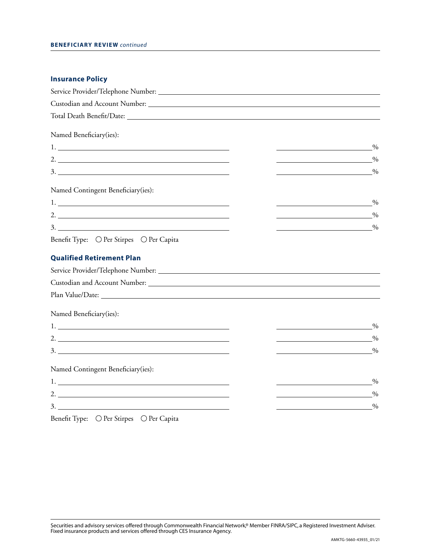### **Beneficiary Review** *continued*

| <b>Insurance Policy</b>                                                                                                                                                                                                                                                                                                                                                                                                                                                |                                                                                                                                        |
|------------------------------------------------------------------------------------------------------------------------------------------------------------------------------------------------------------------------------------------------------------------------------------------------------------------------------------------------------------------------------------------------------------------------------------------------------------------------|----------------------------------------------------------------------------------------------------------------------------------------|
|                                                                                                                                                                                                                                                                                                                                                                                                                                                                        |                                                                                                                                        |
|                                                                                                                                                                                                                                                                                                                                                                                                                                                                        |                                                                                                                                        |
|                                                                                                                                                                                                                                                                                                                                                                                                                                                                        |                                                                                                                                        |
| Named Beneficiary(ies):                                                                                                                                                                                                                                                                                                                                                                                                                                                |                                                                                                                                        |
|                                                                                                                                                                                                                                                                                                                                                                                                                                                                        | $\%$                                                                                                                                   |
| 2. $\frac{1}{2}$ $\frac{1}{2}$ $\frac{1}{2}$ $\frac{1}{2}$ $\frac{1}{2}$ $\frac{1}{2}$ $\frac{1}{2}$ $\frac{1}{2}$ $\frac{1}{2}$ $\frac{1}{2}$ $\frac{1}{2}$ $\frac{1}{2}$ $\frac{1}{2}$ $\frac{1}{2}$ $\frac{1}{2}$ $\frac{1}{2}$ $\frac{1}{2}$ $\frac{1}{2}$ $\frac{1}{2}$ $\frac{1}{2}$ $\frac{1}{2}$ $\frac{1}{2}$                                                                                                                                                 | $\frac{0}{0}$<br><u> 1980 - Johann Barn, mars ann an t-Amhain Aonaich an t-Aonaich an t-Aonaich an t-Aonaich an t-Aonaich an t-Aon</u> |
|                                                                                                                                                                                                                                                                                                                                                                                                                                                                        | $\frac{0}{0}$                                                                                                                          |
| Named Contingent Beneficiary(ies):                                                                                                                                                                                                                                                                                                                                                                                                                                     |                                                                                                                                        |
|                                                                                                                                                                                                                                                                                                                                                                                                                                                                        | $\%$<br><u> 1989 - Johann Stein, mars an deus Amerikaansk kommunister (</u>                                                            |
| 2. $\overline{\phantom{a}}$                                                                                                                                                                                                                                                                                                                                                                                                                                            | $\frac{0}{0}$                                                                                                                          |
|                                                                                                                                                                                                                                                                                                                                                                                                                                                                        | <u> 1989 - Johann Barbara, martxa eta politikar</u><br>$\frac{0}{0}$                                                                   |
| Benefit Type: ○ Per Stirpes ○ Per Capita                                                                                                                                                                                                                                                                                                                                                                                                                               |                                                                                                                                        |
| <b>Qualified Retirement Plan</b>                                                                                                                                                                                                                                                                                                                                                                                                                                       |                                                                                                                                        |
|                                                                                                                                                                                                                                                                                                                                                                                                                                                                        |                                                                                                                                        |
|                                                                                                                                                                                                                                                                                                                                                                                                                                                                        |                                                                                                                                        |
|                                                                                                                                                                                                                                                                                                                                                                                                                                                                        |                                                                                                                                        |
| Named Beneficiary(ies):                                                                                                                                                                                                                                                                                                                                                                                                                                                |                                                                                                                                        |
|                                                                                                                                                                                                                                                                                                                                                                                                                                                                        | $\frac{0}{0}$<br><u> 1980 - Johann Barn, fransk politik (d. 1980)</u>                                                                  |
| 2. $\overline{\phantom{a}}$                                                                                                                                                                                                                                                                                                                                                                                                                                            | $\frac{0}{0}$<br><u> 1989 - Johann Barn, mars eta bainar eta baina eta baina eta baina eta baina eta baina eta baina eta baina e</u>   |
|                                                                                                                                                                                                                                                                                                                                                                                                                                                                        | $^{0}_{0}$                                                                                                                             |
| Named Contingent Beneficiary(ies):                                                                                                                                                                                                                                                                                                                                                                                                                                     |                                                                                                                                        |
| $1.$ $\overline{\phantom{a}}$ $\overline{\phantom{a}}$ $\overline{\phantom{a}}$ $\overline{\phantom{a}}$ $\overline{\phantom{a}}$ $\overline{\phantom{a}}$ $\overline{\phantom{a}}$ $\overline{\phantom{a}}$ $\overline{\phantom{a}}$ $\overline{\phantom{a}}$ $\overline{\phantom{a}}$ $\overline{\phantom{a}}$ $\overline{\phantom{a}}$ $\overline{\phantom{a}}$ $\overline{\phantom{a}}$ $\overline{\phantom{a}}$ $\overline{\phantom{a}}$ $\overline{\phantom{a}}$ | $\frac{0}{0}$                                                                                                                          |
| 2. $\overline{\phantom{a}}$                                                                                                                                                                                                                                                                                                                                                                                                                                            | $\frac{0}{2}$                                                                                                                          |
|                                                                                                                                                                                                                                                                                                                                                                                                                                                                        | $\frac{0}{0}$                                                                                                                          |
|                                                                                                                                                                                                                                                                                                                                                                                                                                                                        |                                                                                                                                        |

## Benefit Type:  $\bigcirc$  Per Stirpes  $\bigcirc$  Per Capita

Securities and advisory services offered through Commonwealth Financial Network,® Member FINRA/SIPC, a Registered Investment Adviser. Fixed insurance products and services offered through CES Insurance Agency.